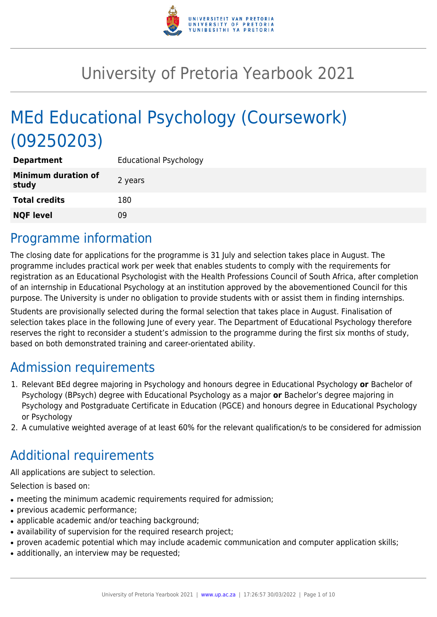

# University of Pretoria Yearbook 2021

# MEd Educational Psychology (Coursework) (09250203)

| <b>Department</b>                   | <b>Educational Psychology</b> |
|-------------------------------------|-------------------------------|
| <b>Minimum duration of</b><br>study | 2 years                       |
| <b>Total credits</b>                | 180                           |
| <b>NQF level</b>                    | 09                            |

### Programme information

The closing date for applications for the programme is 31 July and selection takes place in August. The programme includes practical work per week that enables students to comply with the requirements for registration as an Educational Psychologist with the Health Professions Council of South Africa, after completion of an internship in Educational Psychology at an institution approved by the abovementioned Council for this purpose. The University is under no obligation to provide students with or assist them in finding internships.

Students are provisionally selected during the formal selection that takes place in August. Finalisation of selection takes place in the following June of every year. The Department of Educational Psychology therefore reserves the right to reconsider a student's admission to the programme during the first six months of study, based on both demonstrated training and career-orientated ability.

### Admission requirements

- 1. Relevant BEd degree majoring in Psychology and honours degree in Educational Psychology **or** Bachelor of Psychology (BPsych) degree with Educational Psychology as a major **or** Bachelor's degree majoring in Psychology and Postgraduate Certificate in Education (PGCE) and honours degree in Educational Psychology or Psychology
- 2. A cumulative weighted average of at least 60% for the relevant qualification/s to be considered for admission

# Additional requirements

All applications are subject to selection.

Selection is based on:

- meeting the minimum academic requirements required for admission;
- previous academic performance:
- applicable academic and/or teaching background;
- availability of supervision for the required research project;
- proven academic potential which may include academic communication and computer application skills;
- additionally, an interview may be requested;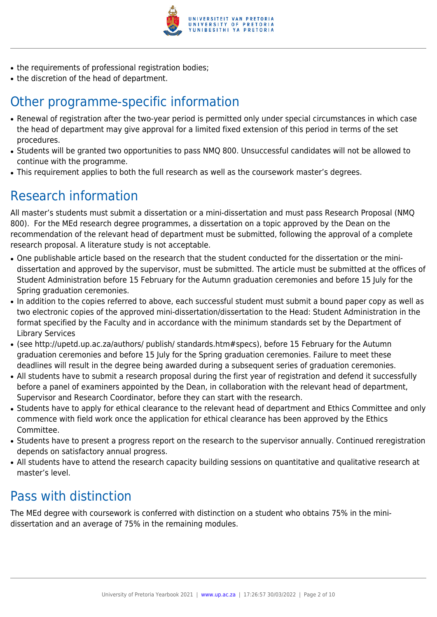

- the requirements of professional registration bodies;
- the discretion of the head of department.

# Other programme-specific information

- Renewal of registration after the two-year period is permitted only under special circumstances in which case the head of department may give approval for a limited fixed extension of this period in terms of the set procedures.
- Students will be granted two opportunities to pass NMQ 800. Unsuccessful candidates will not be allowed to continue with the programme.
- This requirement applies to both the full research as well as the coursework master's degrees.

# Research information

All master's students must submit a dissertation or a mini-dissertation and must pass Research Proposal (NMQ 800). For the MEd research degree programmes, a dissertation on a topic approved by the Dean on the recommendation of the relevant head of department must be submitted, following the approval of a complete research proposal. A literature study is not acceptable.

- One publishable article based on the research that the student conducted for the dissertation or the minidissertation and approved by the supervisor, must be submitted. The article must be submitted at the offices of Student Administration before 15 February for the Autumn graduation ceremonies and before 15 July for the Spring graduation ceremonies.
- In addition to the copies referred to above, each successful student must submit a bound paper copy as well as two electronic copies of the approved mini-dissertation/dissertation to the Head: Student Administration in the format specified by the Faculty and in accordance with the minimum standards set by the Department of Library Services
- (see http://upetd.up.ac.za/authors/ publish/ standards.htm#specs), before 15 February for the Autumn graduation ceremonies and before 15 July for the Spring graduation ceremonies. Failure to meet these deadlines will result in the degree being awarded during a subsequent series of graduation ceremonies.
- All students have to submit a research proposal during the first year of registration and defend it successfully before a panel of examiners appointed by the Dean, in collaboration with the relevant head of department, Supervisor and Research Coordinator, before they can start with the research.
- Students have to apply for ethical clearance to the relevant head of department and Ethics Committee and only commence with field work once the application for ethical clearance has been approved by the Ethics Committee.
- Students have to present a progress report on the research to the supervisor annually. Continued reregistration depends on satisfactory annual progress.
- All students have to attend the research capacity building sessions on quantitative and qualitative research at master's level.

# Pass with distinction

The MEd degree with coursework is conferred with distinction on a student who obtains 75% in the minidissertation and an average of 75% in the remaining modules.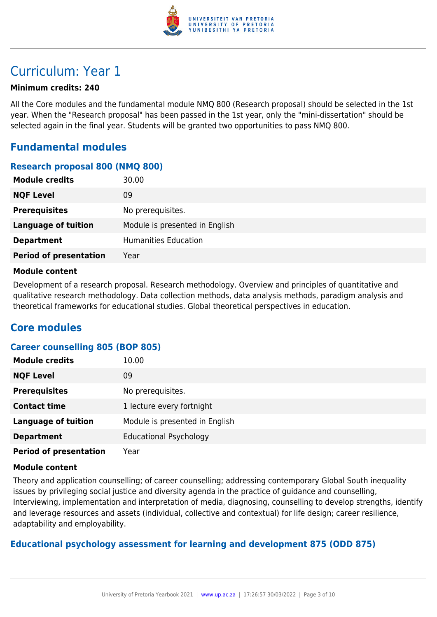

### Curriculum: Year 1

#### **Minimum credits: 240**

All the Core modules and the fundamental module NMQ 800 (Research proposal) should be selected in the 1st year. When the "Research proposal" has been passed in the 1st year, only the "mini-dissertation" should be selected again in the final year. Students will be granted two opportunities to pass NMQ 800.

### **Fundamental modules**

#### **Research proposal 800 (NMQ 800)**

| <b>Module credits</b><br>30.00        |                                |
|---------------------------------------|--------------------------------|
| <b>NQF Level</b><br>09                |                                |
| <b>Prerequisites</b>                  | No prerequisites.              |
| <b>Language of tuition</b>            | Module is presented in English |
| <b>Department</b>                     | <b>Humanities Education</b>    |
| <b>Period of presentation</b><br>Year |                                |

#### **Module content**

Development of a research proposal. Research methodology. Overview and principles of quantitative and qualitative research methodology. Data collection methods, data analysis methods, paradigm analysis and theoretical frameworks for educational studies. Global theoretical perspectives in education.

### **Core modules**

#### **Career counselling 805 (BOP 805)**

| <b>Module credits</b>         | 10.00                          |
|-------------------------------|--------------------------------|
| <b>NQF Level</b>              | 09                             |
| <b>Prerequisites</b>          | No prerequisites.              |
| <b>Contact time</b>           | 1 lecture every fortnight      |
| <b>Language of tuition</b>    | Module is presented in English |
| <b>Department</b>             | <b>Educational Psychology</b>  |
| <b>Period of presentation</b> | Year                           |

#### **Module content**

Theory and application counselling; of career counselling; addressing contemporary Global South inequality issues by privileging social justice and diversity agenda in the practice of guidance and counselling, Interviewing, implementation and interpretation of media, diagnosing, counselling to develop strengths, identify and leverage resources and assets (individual, collective and contextual) for life design; career resilience, adaptability and employability.

#### **Educational psychology assessment for learning and development 875 (ODD 875)**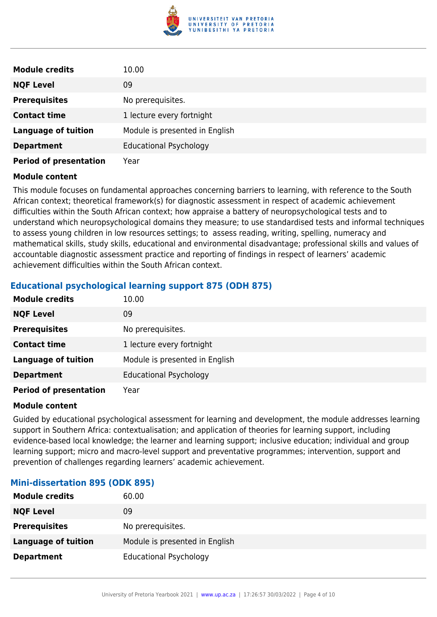

| <b>Module credits</b>         | 10.00                          |
|-------------------------------|--------------------------------|
| <b>NQF Level</b>              | 09                             |
| <b>Prerequisites</b>          | No prerequisites.              |
| <b>Contact time</b>           | 1 lecture every fortnight      |
| <b>Language of tuition</b>    | Module is presented in English |
| <b>Department</b>             | <b>Educational Psychology</b>  |
| <b>Period of presentation</b> | Year                           |

This module focuses on fundamental approaches concerning barriers to learning, with reference to the South African context; theoretical framework(s) for diagnostic assessment in respect of academic achievement difficulties within the South African context; how appraise a battery of neuropsychological tests and to understand which neuropsychological domains they measure; to use standardised tests and informal techniques to assess young children in low resources settings; to assess reading, writing, spelling, numeracy and mathematical skills, study skills, educational and environmental disadvantage; professional skills and values of accountable diagnostic assessment practice and reporting of findings in respect of learners' academic achievement difficulties within the South African context.

#### **Educational psychological learning support 875 (ODH 875)**

| <b>Module credits</b>         | 10.00                          |
|-------------------------------|--------------------------------|
| <b>NQF Level</b>              | 09                             |
| <b>Prerequisites</b>          | No prerequisites.              |
| <b>Contact time</b>           | 1 lecture every fortnight      |
| <b>Language of tuition</b>    | Module is presented in English |
| <b>Department</b>             | <b>Educational Psychology</b>  |
| <b>Period of presentation</b> | Year                           |

#### **Module content**

Guided by educational psychological assessment for learning and development, the module addresses learning support in Southern Africa: contextualisation; and application of theories for learning support, including evidence-based local knowledge; the learner and learning support; inclusive education; individual and group learning support; micro and macro-level support and preventative programmes; intervention, support and prevention of challenges regarding learners' academic achievement.

#### **Mini-dissertation 895 (ODK 895)**

| <b>Module credits</b>      | 60.00                          |
|----------------------------|--------------------------------|
| <b>NQF Level</b>           | 09                             |
| <b>Prerequisites</b>       | No prerequisites.              |
| <b>Language of tuition</b> | Module is presented in English |
| <b>Department</b>          | <b>Educational Psychology</b>  |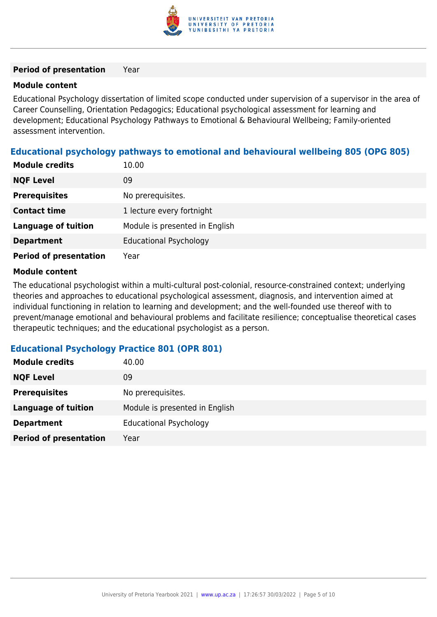

#### **Period of presentation** Year

#### **Module content**

Educational Psychology dissertation of limited scope conducted under supervision of a supervisor in the area of Career Counselling, Orientation Pedagogics; Educational psychological assessment for learning and development; Educational Psychology Pathways to Emotional & Behavioural Wellbeing; Family-oriented assessment intervention.

#### **Educational psychology pathways to emotional and behavioural wellbeing 805 (OPG 805)**

| <b>Module credits</b>         | 10.00                          |
|-------------------------------|--------------------------------|
| <b>NQF Level</b>              | 09                             |
| <b>Prerequisites</b>          | No prerequisites.              |
| <b>Contact time</b>           | 1 lecture every fortnight      |
| <b>Language of tuition</b>    | Module is presented in English |
| <b>Department</b>             | <b>Educational Psychology</b>  |
| <b>Period of presentation</b> | Year                           |

#### **Module content**

The educational psychologist within a multi-cultural post-colonial, resource-constrained context; underlying theories and approaches to educational psychological assessment, diagnosis, and intervention aimed at individual functioning in relation to learning and development; and the well-founded use thereof with to prevent/manage emotional and behavioural problems and facilitate resilience; conceptualise theoretical cases therapeutic techniques; and the educational psychologist as a person.

#### **Educational Psychology Practice 801 (OPR 801)**

| <b>Module credits</b>         | 40.00                          |
|-------------------------------|--------------------------------|
| <b>NQF Level</b>              | 09                             |
| <b>Prerequisites</b>          | No prerequisites.              |
| <b>Language of tuition</b>    | Module is presented in English |
| <b>Department</b>             | <b>Educational Psychology</b>  |
| <b>Period of presentation</b> | Year                           |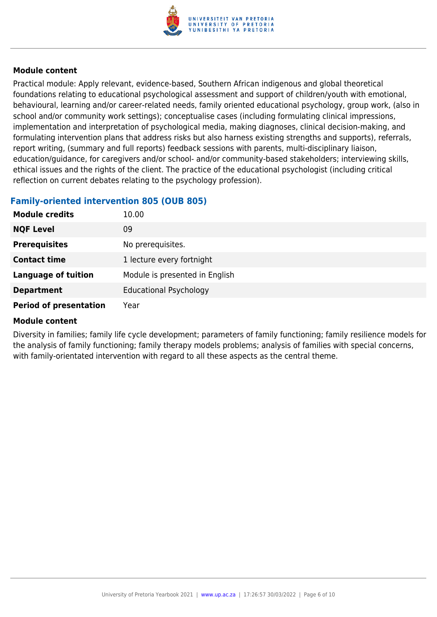

Practical module: Apply relevant, evidence-based, Southern African indigenous and global theoretical foundations relating to educational psychological assessment and support of children/youth with emotional, behavioural, learning and/or career-related needs, family oriented educational psychology, group work, (also in school and/or community work settings); conceptualise cases (including formulating clinical impressions, implementation and interpretation of psychological media, making diagnoses, clinical decision-making, and formulating intervention plans that address risks but also harness existing strengths and supports), referrals, report writing, (summary and full reports) feedback sessions with parents, multi-disciplinary liaison, education/guidance, for caregivers and/or school- and/or community-based stakeholders; interviewing skills, ethical issues and the rights of the client. The practice of the educational psychologist (including critical reflection on current debates relating to the psychology profession).

#### **Family-oriented intervention 805 (OUB 805)**

| <b>Module credits</b>         | 10.00                          |
|-------------------------------|--------------------------------|
| <b>NQF Level</b>              | 09                             |
| <b>Prerequisites</b>          | No prerequisites.              |
| <b>Contact time</b>           | 1 lecture every fortnight      |
| <b>Language of tuition</b>    | Module is presented in English |
| <b>Department</b>             | <b>Educational Psychology</b>  |
| <b>Period of presentation</b> | Year                           |

#### **Module content**

Diversity in families; family life cycle development; parameters of family functioning; family resilience models for the analysis of family functioning; family therapy models problems; analysis of families with special concerns, with family-orientated intervention with regard to all these aspects as the central theme.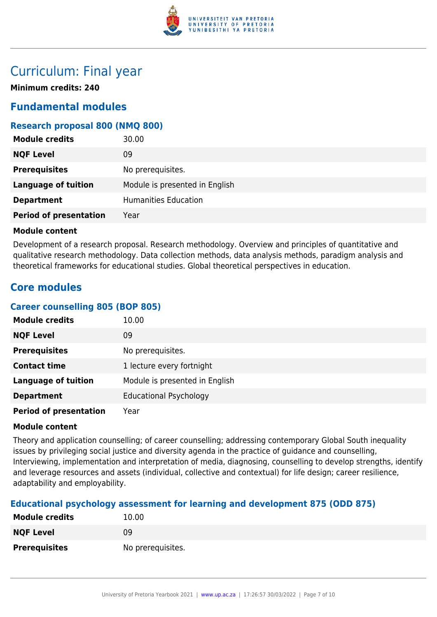

### Curriculum: Final year

**Minimum credits: 240**

### **Fundamental modules**

#### **Research proposal 800 (NMQ 800)**

| <b>Module credits</b>         | 30.00                          |
|-------------------------------|--------------------------------|
| <b>NQF Level</b>              | 09                             |
| <b>Prerequisites</b>          | No prerequisites.              |
| <b>Language of tuition</b>    | Module is presented in English |
| <b>Department</b>             | <b>Humanities Education</b>    |
| <b>Period of presentation</b> | Year                           |

#### **Module content**

Development of a research proposal. Research methodology. Overview and principles of quantitative and qualitative research methodology. Data collection methods, data analysis methods, paradigm analysis and theoretical frameworks for educational studies. Global theoretical perspectives in education.

### **Core modules**

#### **Career counselling 805 (BOP 805)**

| <b>Module credits</b>         | 10.00                          |
|-------------------------------|--------------------------------|
| <b>NQF Level</b>              | 09                             |
| <b>Prerequisites</b>          | No prerequisites.              |
| <b>Contact time</b>           | 1 lecture every fortnight      |
| <b>Language of tuition</b>    | Module is presented in English |
| <b>Department</b>             | <b>Educational Psychology</b>  |
| <b>Period of presentation</b> | Year                           |

#### **Module content**

Theory and application counselling; of career counselling; addressing contemporary Global South inequality issues by privileging social justice and diversity agenda in the practice of guidance and counselling, Interviewing, implementation and interpretation of media, diagnosing, counselling to develop strengths, identify and leverage resources and assets (individual, collective and contextual) for life design; career resilience, adaptability and employability.

#### **Educational psychology assessment for learning and development 875 (ODD 875)**

| <b>Module credits</b> | 10.00             |
|-----------------------|-------------------|
| <b>NQF Level</b>      | 09                |
| <b>Prerequisites</b>  | No prerequisites. |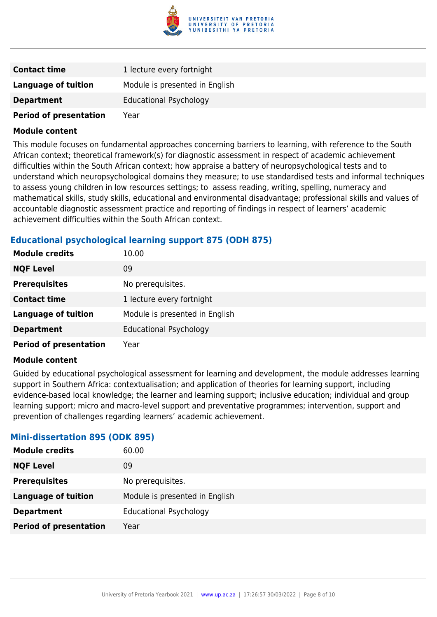

| <b>Contact time</b>           | 1 lecture every fortnight      |
|-------------------------------|--------------------------------|
| Language of tuition           | Module is presented in English |
| <b>Department</b>             | <b>Educational Psychology</b>  |
| <b>Period of presentation</b> | Year                           |

This module focuses on fundamental approaches concerning barriers to learning, with reference to the South African context; theoretical framework(s) for diagnostic assessment in respect of academic achievement difficulties within the South African context; how appraise a battery of neuropsychological tests and to understand which neuropsychological domains they measure; to use standardised tests and informal techniques to assess young children in low resources settings; to assess reading, writing, spelling, numeracy and mathematical skills, study skills, educational and environmental disadvantage; professional skills and values of accountable diagnostic assessment practice and reporting of findings in respect of learners' academic achievement difficulties within the South African context.

#### **Educational psychological learning support 875 (ODH 875)**

| <b>Module credits</b>         | 10.00                          |
|-------------------------------|--------------------------------|
| <b>NQF Level</b>              | 09                             |
| <b>Prerequisites</b>          | No prerequisites.              |
| <b>Contact time</b>           | 1 lecture every fortnight      |
| <b>Language of tuition</b>    | Module is presented in English |
| <b>Department</b>             | <b>Educational Psychology</b>  |
| <b>Period of presentation</b> | Year                           |

#### **Module content**

Guided by educational psychological assessment for learning and development, the module addresses learning support in Southern Africa: contextualisation; and application of theories for learning support, including evidence-based local knowledge; the learner and learning support; inclusive education; individual and group learning support; micro and macro-level support and preventative programmes; intervention, support and prevention of challenges regarding learners' academic achievement.

#### **Mini-dissertation 895 (ODK 895)**

| <b>Module credits</b>         | 60.00                          |
|-------------------------------|--------------------------------|
| <b>NQF Level</b>              | 09                             |
| <b>Prerequisites</b>          | No prerequisites.              |
| <b>Language of tuition</b>    | Module is presented in English |
| <b>Department</b>             | Educational Psychology         |
| <b>Period of presentation</b> | Year                           |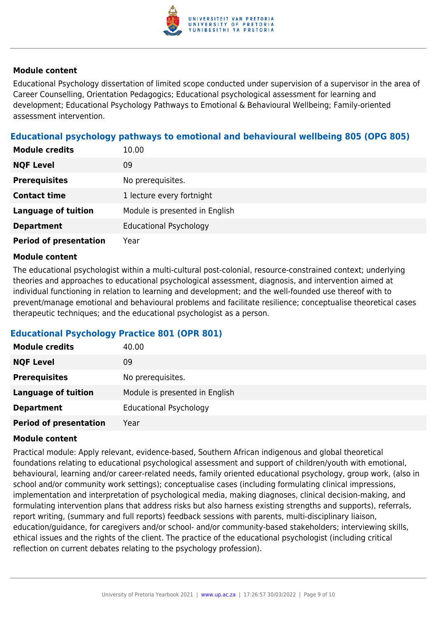

Educational Psychology dissertation of limited scope conducted under supervision of a supervisor in the area of Career Counselling, Orientation Pedagogics; Educational psychological assessment for learning and development; Educational Psychology Pathways to Emotional & Behavioural Wellbeing; Family-oriented assessment intervention.

#### **Educational psychology pathways to emotional and behavioural wellbeing 805 (OPG 805)**

| <b>Module credits</b>         | 10.00                          |
|-------------------------------|--------------------------------|
| <b>NQF Level</b>              | 09                             |
| <b>Prerequisites</b>          | No prerequisites.              |
| <b>Contact time</b>           | 1 lecture every fortnight      |
| <b>Language of tuition</b>    | Module is presented in English |
| <b>Department</b>             | <b>Educational Psychology</b>  |
| <b>Period of presentation</b> | Year                           |

#### **Module content**

The educational psychologist within a multi-cultural post-colonial, resource-constrained context; underlying theories and approaches to educational psychological assessment, diagnosis, and intervention aimed at individual functioning in relation to learning and development; and the well-founded use thereof with to prevent/manage emotional and behavioural problems and facilitate resilience; conceptualise theoretical cases therapeutic techniques; and the educational psychologist as a person.

#### **Educational Psychology Practice 801 (OPR 801)**

| <b>Module credits</b>         | 40.00                          |
|-------------------------------|--------------------------------|
| <b>NQF Level</b>              | 09                             |
| <b>Prerequisites</b>          | No prerequisites.              |
| <b>Language of tuition</b>    | Module is presented in English |
| <b>Department</b>             | <b>Educational Psychology</b>  |
| <b>Period of presentation</b> | Year                           |

#### **Module content**

Practical module: Apply relevant, evidence-based, Southern African indigenous and global theoretical foundations relating to educational psychological assessment and support of children/youth with emotional, behavioural, learning and/or career-related needs, family oriented educational psychology, group work, (also in school and/or community work settings); conceptualise cases (including formulating clinical impressions, implementation and interpretation of psychological media, making diagnoses, clinical decision-making, and formulating intervention plans that address risks but also harness existing strengths and supports), referrals, report writing, (summary and full reports) feedback sessions with parents, multi-disciplinary liaison, education/guidance, for caregivers and/or school- and/or community-based stakeholders; interviewing skills, ethical issues and the rights of the client. The practice of the educational psychologist (including critical reflection on current debates relating to the psychology profession).